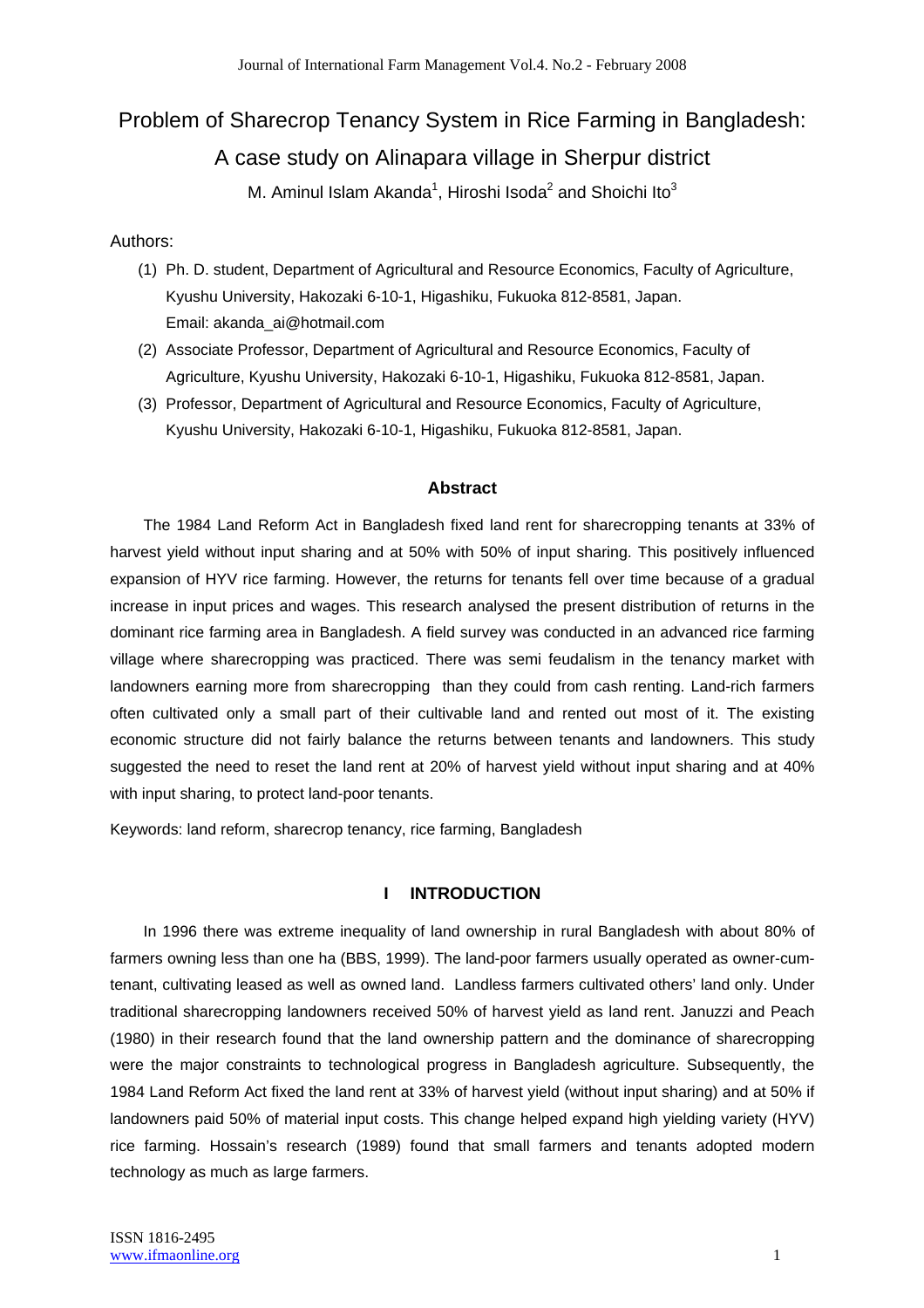# Problem of Sharecrop Tenancy System in Rice Farming in Bangladesh:

# A case study on Alinapara village in Sherpur district

M. Aminul Islam Akanda<sup>1</sup>, Hiroshi Isoda<sup>2</sup> and Shoichi Ito<sup>3</sup>

# Authors:

- (1) Ph. D. student, Department of Agricultural and Resource Economics, Faculty of Agriculture, Kyushu University, Hakozaki 6-10-1, Higashiku, Fukuoka 812-8581, Japan. Email: akanda\_ai@hotmail.com
- (2) Associate Professor, Department of Agricultural and Resource Economics, Faculty of Agriculture, Kyushu University, Hakozaki 6-10-1, Higashiku, Fukuoka 812-8581, Japan.
- (3) Professor, Department of Agricultural and Resource Economics, Faculty of Agriculture, Kyushu University, Hakozaki 6-10-1, Higashiku, Fukuoka 812-8581, Japan.

# **Abstract**

The 1984 Land Reform Act in Bangladesh fixed land rent for sharecropping tenants at 33% of harvest yield without input sharing and at 50% with 50% of input sharing. This positively influenced expansion of HYV rice farming. However, the returns for tenants fell over time because of a gradual increase in input prices and wages. This research analysed the present distribution of returns in the dominant rice farming area in Bangladesh. A field survey was conducted in an advanced rice farming village where sharecropping was practiced. There was semi feudalism in the tenancy market with landowners earning more from sharecropping than they could from cash renting. Land-rich farmers often cultivated only a small part of their cultivable land and rented out most of it. The existing economic structure did not fairly balance the returns between tenants and landowners. This study suggested the need to reset the land rent at 20% of harvest yield without input sharing and at 40% with input sharing, to protect land-poor tenants.

Keywords: land reform, sharecrop tenancy, rice farming, Bangladesh

# **I INTRODUCTION**

In 1996 there was extreme inequality of land ownership in rural Bangladesh with about 80% of farmers owning less than one ha (BBS, 1999). The land-poor farmers usually operated as owner-cumtenant, cultivating leased as well as owned land. Landless farmers cultivated others' land only. Under traditional sharecropping landowners received 50% of harvest yield as land rent. Januzzi and Peach (1980) in their research found that the land ownership pattern and the dominance of sharecropping were the major constraints to technological progress in Bangladesh agriculture. Subsequently, the 1984 Land Reform Act fixed the land rent at 33% of harvest yield (without input sharing) and at 50% if landowners paid 50% of material input costs. This change helped expand high yielding variety (HYV) rice farming. Hossain's research (1989) found that small farmers and tenants adopted modern technology as much as large farmers.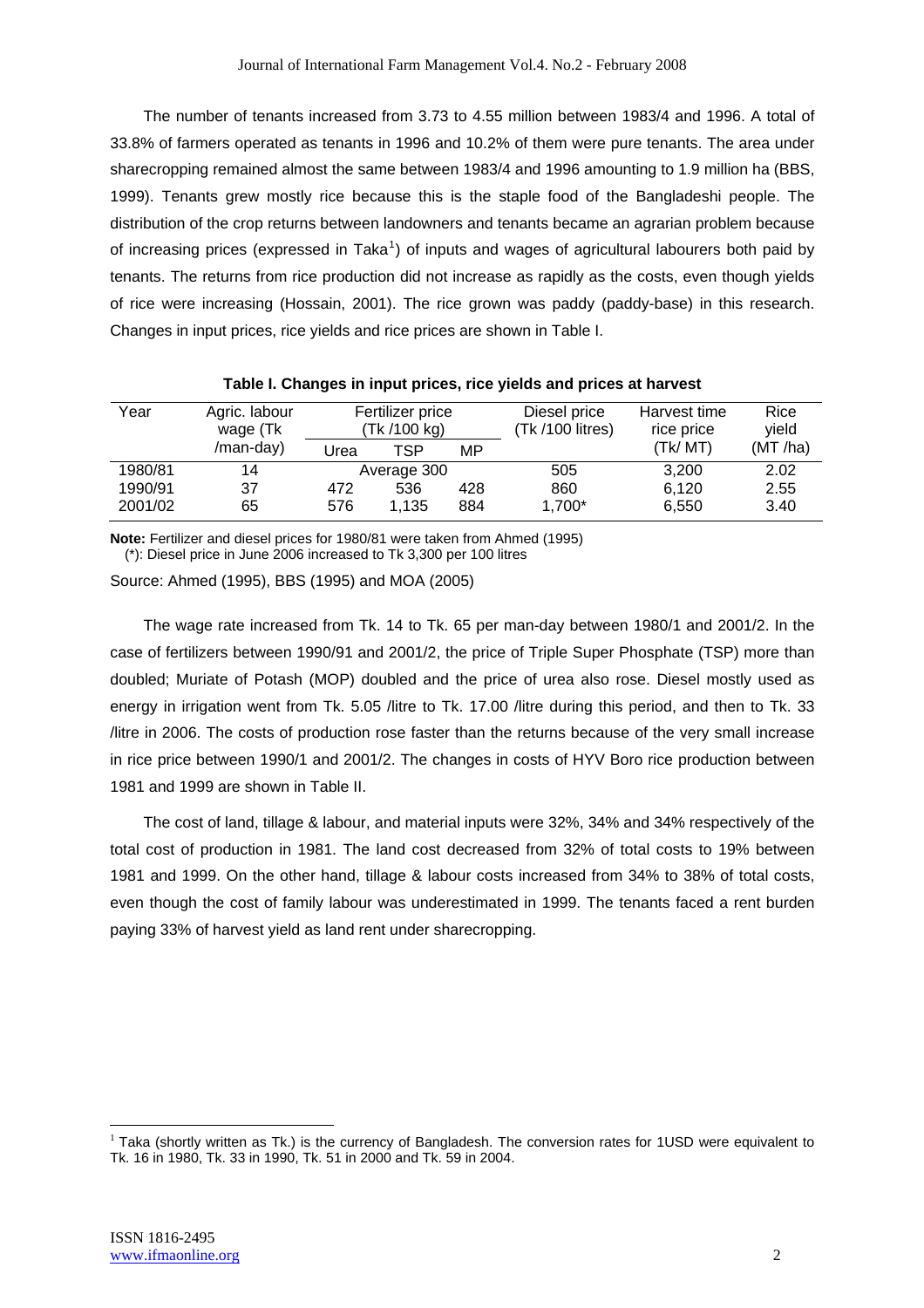The number of tenants increased from 3.73 to 4.55 million between 1983/4 and 1996. A total of 33.8% of farmers operated as tenants in 1996 and 10.2% of them were pure tenants. The area under sharecropping remained almost the same between 1983/4 and 1996 amounting to 1.9 million ha (BBS, 1999). Tenants grew mostly rice because this is the staple food of the Bangladeshi people. The distribution of the crop returns between landowners and tenants became an agrarian problem because of increasing prices (expressed in Taka<sup>1</sup>) of inputs and wages of agricultural labourers both paid by tenants. The returns from rice production did not increase as rapidly as the costs, even though yields of rice were increasing (Hossain, 2001). The rice grown was paddy (paddy-base) in this research. Changes in input prices, rice yields and rice prices are shown in Table I.

|         |               |      |                  |     | , as it is a set of the material contract the contract of the set of the set of the set of the set of the set |              |         |
|---------|---------------|------|------------------|-----|---------------------------------------------------------------------------------------------------------------|--------------|---------|
| Year    | Agric. labour |      | Fertilizer price |     | Diesel price                                                                                                  | Harvest time | Rice    |
|         | wage (Tk      |      | (Tk /100 kg)     |     | (Tk /100 litres)                                                                                              | rice price   | yield   |
|         | /man-day)     | Urea | TSP              | MP  |                                                                                                               | (Tk/ MT)     | (MT/ha) |
| 1980/81 | 14            |      | Average 300      |     | 505                                                                                                           | 3.200        | 2.02    |
| 1990/91 | 37            | 472  | 536              | 428 | 860                                                                                                           | 6.120        | 2.55    |
| 2001/02 | 65            | 576  | 1.135            | 884 | 1,700*                                                                                                        | 6,550        | 3.40    |

# **Table I. Changes in input prices, rice yields and prices at harvest**

**Note:** Fertilizer and diesel prices for 1980/81 were taken from Ahmed (1995) (\*): Diesel price in June 2006 increased to Tk 3,300 per 100 litres

Source: Ahmed (1995), BBS (1995) and MOA (2005)

The wage rate increased from Tk. 14 to Tk. 65 per man-day between 1980/1 and 2001/2. In the case of fertilizers between 1990/91 and 2001/2, the price of Triple Super Phosphate (TSP) more than doubled; Muriate of Potash (MOP) doubled and the price of urea also rose. Diesel mostly used as energy in irrigation went from Tk. 5.05 /litre to Tk. 17.00 /litre during this period, and then to Tk. 33 /litre in 2006. The costs of production rose faster than the returns because of the very small increase in rice price between 1990/1 and 2001/2. The changes in costs of HYV Boro rice production between 1981 and 1999 are shown in Table II.

The cost of land, tillage & labour, and material inputs were 32%, 34% and 34% respectively of the total cost of production in 1981. The land cost decreased from 32% of total costs to 19% between 1981 and 1999. On the other hand, tillage & labour costs increased from 34% to 38% of total costs, even though the cost of family labour was underestimated in 1999. The tenants faced a rent burden paying 33% of harvest yield as land rent under sharecropping.

 $\overline{a}$ 

 $1$  Taka (shortly written as Tk.) is the currency of Bangladesh. The conversion rates for 1USD were equivalent to Tk. 16 in 1980, Tk. 33 in 1990, Tk. 51 in 2000 and Tk. 59 in 2004.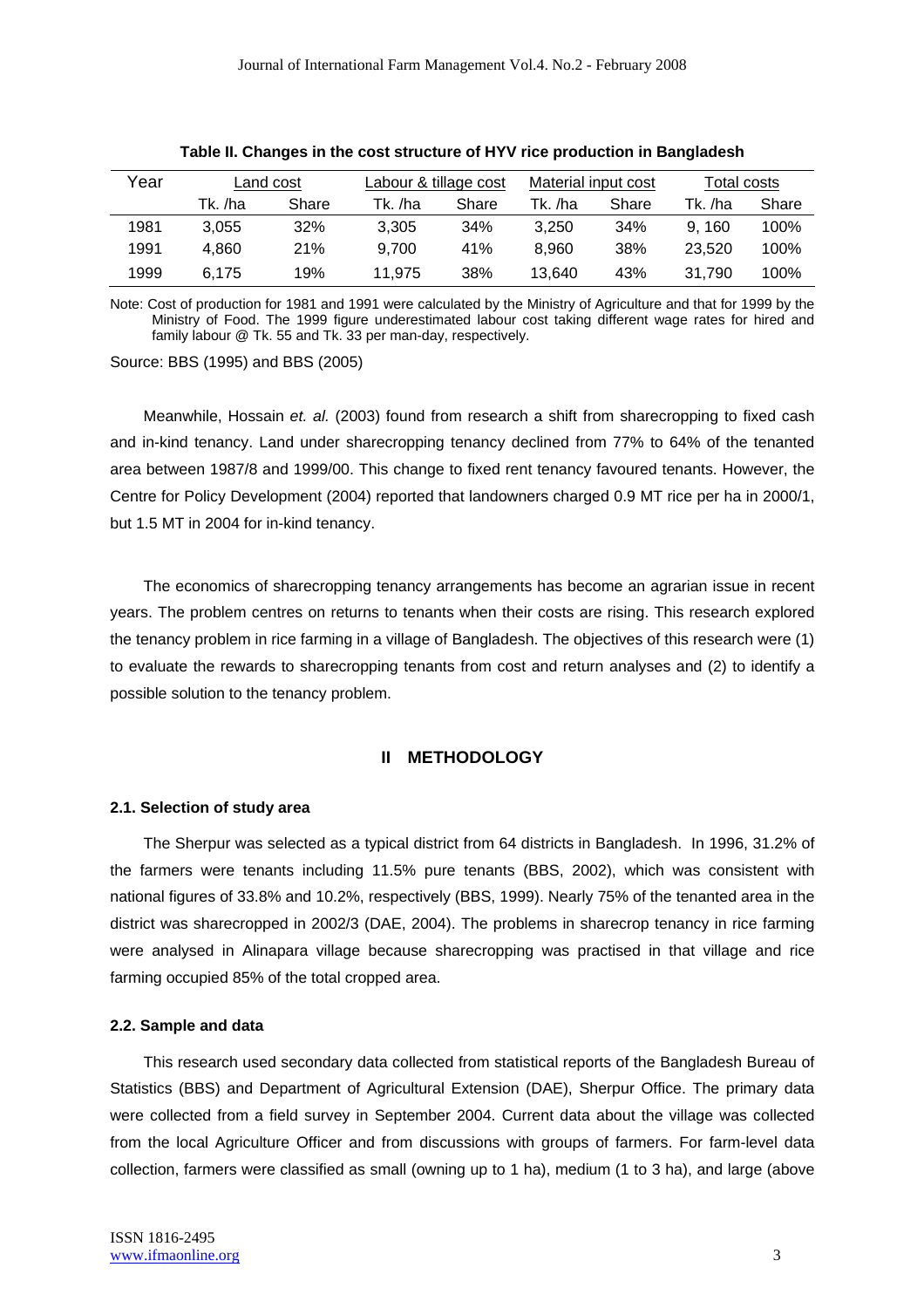| Year | Land cost |       | Labour & tillage cost |       | Material input cost |       | Total costs |       |
|------|-----------|-------|-----------------------|-------|---------------------|-------|-------------|-------|
|      | Tk. /ha   | Share | Tk. /ha               | Share | Tk. /ha             | Share | Tk. /ha     | Share |
| 1981 | 3.055     | 32%   | 3.305                 | 34%   | 3.250               | 34%   | 9.160       | 100%  |
| 1991 | 4.860     | 21%   | 9.700                 | 41%   | 8.960               | 38%   | 23.520      | 100%  |
| 1999 | 6.175     | 19%   | 11,975                | 38%   | 13.640              | 43%   | 31.790      | 100%  |

| Table II. Changes in the cost structure of HYV rice production in Bangladesh |  |  |  |  |
|------------------------------------------------------------------------------|--|--|--|--|
|                                                                              |  |  |  |  |

Note: Cost of production for 1981 and 1991 were calculated by the Ministry of Agriculture and that for 1999 by the Ministry of Food. The 1999 figure underestimated labour cost taking different wage rates for hired and family labour @ Tk. 55 and Tk. 33 per man-day, respectively.

Source: BBS (1995) and BBS (2005)

Meanwhile, Hossain *et. al.* (2003) found from research a shift from sharecropping to fixed cash and in-kind tenancy. Land under sharecropping tenancy declined from 77% to 64% of the tenanted area between 1987/8 and 1999/00. This change to fixed rent tenancy favoured tenants. However, the Centre for Policy Development (2004) reported that landowners charged 0.9 MT rice per ha in 2000/1, but 1.5 MT in 2004 for in-kind tenancy.

The economics of sharecropping tenancy arrangements has become an agrarian issue in recent years. The problem centres on returns to tenants when their costs are rising. This research explored the tenancy problem in rice farming in a village of Bangladesh. The objectives of this research were (1) to evaluate the rewards to sharecropping tenants from cost and return analyses and (2) to identify a possible solution to the tenancy problem.

# **II METHODOLOGY**

#### **2.1. Selection of study area**

The Sherpur was selected as a typical district from 64 districts in Bangladesh. In 1996, 31.2% of the farmers were tenants including 11.5% pure tenants (BBS, 2002), which was consistent with national figures of 33.8% and 10.2%, respectively (BBS, 1999). Nearly 75% of the tenanted area in the district was sharecropped in 2002/3 (DAE, 2004). The problems in sharecrop tenancy in rice farming were analysed in Alinapara village because sharecropping was practised in that village and rice farming occupied 85% of the total cropped area.

#### **2.2. Sample and data**

This research used secondary data collected from statistical reports of the Bangladesh Bureau of Statistics (BBS) and Department of Agricultural Extension (DAE), Sherpur Office. The primary data were collected from a field survey in September 2004. Current data about the village was collected from the local Agriculture Officer and from discussions with groups of farmers. For farm-level data collection, farmers were classified as small (owning up to 1 ha), medium (1 to 3 ha), and large (above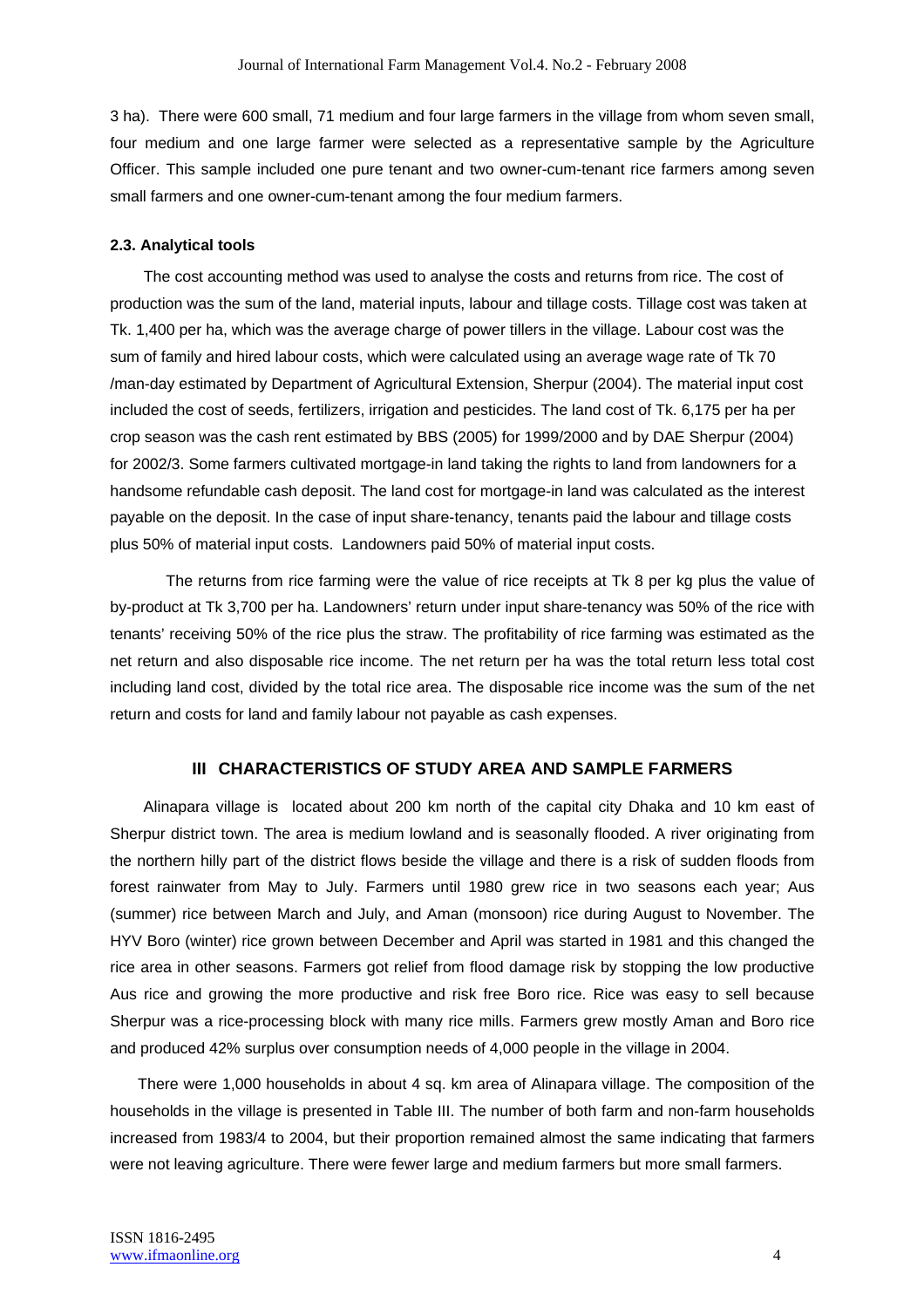3 ha). There were 600 small, 71 medium and four large farmers in the village from whom seven small, four medium and one large farmer were selected as a representative sample by the Agriculture Officer. This sample included one pure tenant and two owner-cum-tenant rice farmers among seven small farmers and one owner-cum-tenant among the four medium farmers.

#### **2.3. Analytical tools**

The cost accounting method was used to analyse the costs and returns from rice. The cost of production was the sum of the land, material inputs, labour and tillage costs. Tillage cost was taken at Tk. 1,400 per ha, which was the average charge of power tillers in the village. Labour cost was the sum of family and hired labour costs, which were calculated using an average wage rate of Tk 70 /man-day estimated by Department of Agricultural Extension, Sherpur (2004). The material input cost included the cost of seeds, fertilizers, irrigation and pesticides. The land cost of Tk. 6,175 per ha per crop season was the cash rent estimated by BBS (2005) for 1999/2000 and by DAE Sherpur (2004) for 2002/3. Some farmers cultivated mortgage-in land taking the rights to land from landowners for a handsome refundable cash deposit. The land cost for mortgage-in land was calculated as the interest payable on the deposit. In the case of input share-tenancy, tenants paid the labour and tillage costs plus 50% of material input costs. Landowners paid 50% of material input costs.

The returns from rice farming were the value of rice receipts at Tk 8 per kg plus the value of by-product at Tk 3,700 per ha. Landowners' return under input share-tenancy was 50% of the rice with tenants' receiving 50% of the rice plus the straw. The profitability of rice farming was estimated as the net return and also disposable rice income. The net return per ha was the total return less total cost including land cost, divided by the total rice area. The disposable rice income was the sum of the net return and costs for land and family labour not payable as cash expenses.

#### **III CHARACTERISTICS OF STUDY AREA AND SAMPLE FARMERS**

Alinapara village is located about 200 km north of the capital city Dhaka and 10 km east of Sherpur district town. The area is medium lowland and is seasonally flooded. A river originating from the northern hilly part of the district flows beside the village and there is a risk of sudden floods from forest rainwater from May to July. Farmers until 1980 grew rice in two seasons each year; Aus (summer) rice between March and July, and Aman (monsoon) rice during August to November. The HYV Boro (winter) rice grown between December and April was started in 1981 and this changed the rice area in other seasons. Farmers got relief from flood damage risk by stopping the low productive Aus rice and growing the more productive and risk free Boro rice. Rice was easy to sell because Sherpur was a rice-processing block with many rice mills. Farmers grew mostly Aman and Boro rice and produced 42% surplus over consumption needs of 4,000 people in the village in 2004.

There were 1,000 households in about 4 sq. km area of Alinapara village. The composition of the households in the village is presented in Table III. The number of both farm and non-farm households increased from 1983/4 to 2004, but their proportion remained almost the same indicating that farmers were not leaving agriculture. There were fewer large and medium farmers but more small farmers.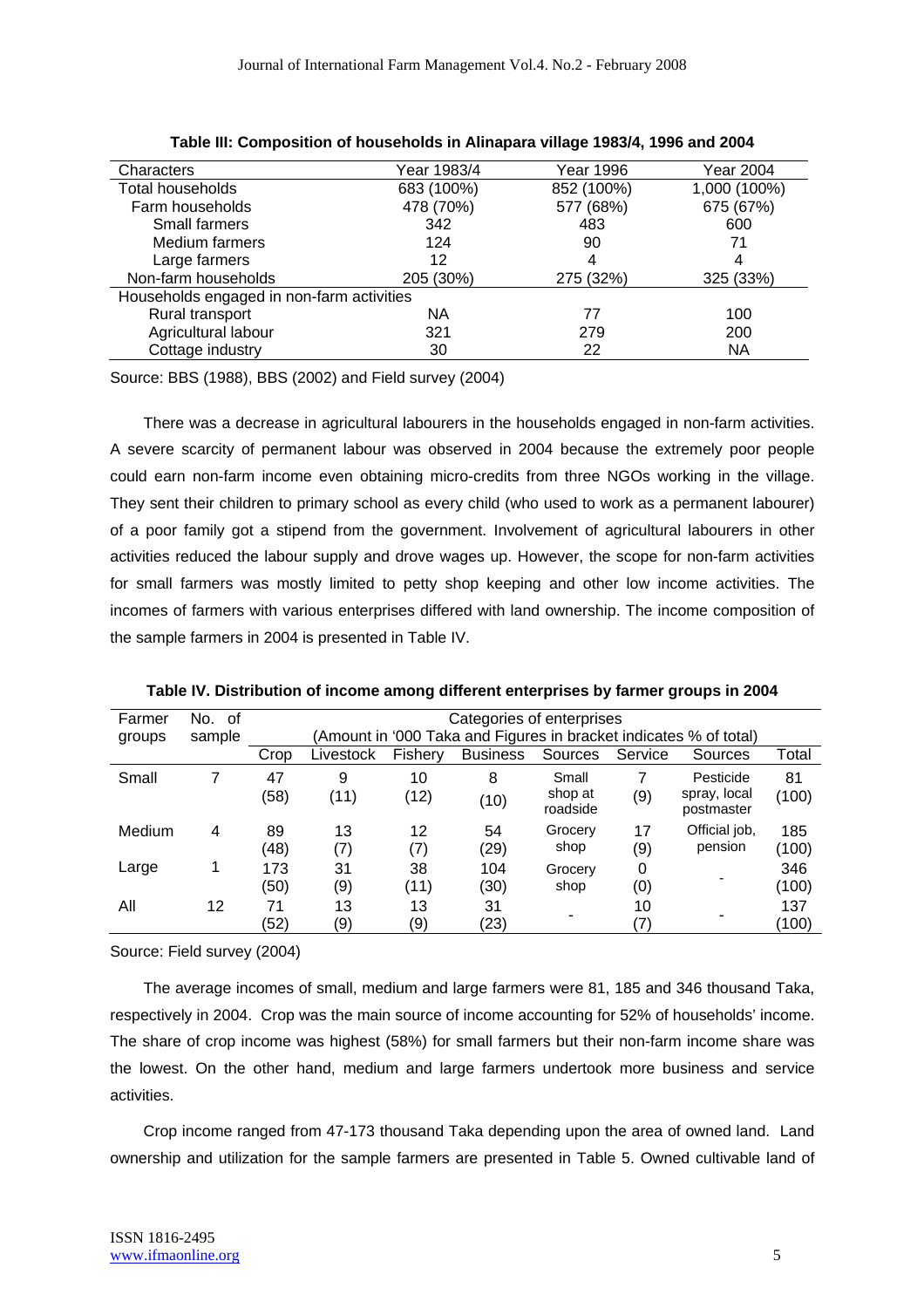| Characters                                | Year 1983/4 | Year 1996  | Year 2004    |
|-------------------------------------------|-------------|------------|--------------|
| Total households                          | 683 (100%)  | 852 (100%) | 1,000 (100%) |
| Farm households                           | 478 (70%)   | 577 (68%)  | 675 (67%)    |
| Small farmers                             | 342         | 483        | 600          |
| Medium farmers                            | 124         | 90         | 71           |
| Large farmers                             | 12          | 4          | 4            |
| Non-farm households                       | 205 (30%)   | 275 (32%)  | 325 (33%)    |
| Households engaged in non-farm activities |             |            |              |
| Rural transport                           | ΝA          | 77         | 100          |
| Agricultural labour                       | 321         | 279        | 200          |
| Cottage industry                          | 30          | 22         | <b>NA</b>    |

Source: BBS (1988), BBS (2002) and Field survey (2004)

There was a decrease in agricultural labourers in the households engaged in non-farm activities. A severe scarcity of permanent labour was observed in 2004 because the extremely poor people could earn non-farm income even obtaining micro-credits from three NGOs working in the village. They sent their children to primary school as every child (who used to work as a permanent labourer) of a poor family got a stipend from the government. Involvement of agricultural labourers in other activities reduced the labour supply and drove wages up. However, the scope for non-farm activities for small farmers was mostly limited to petty shop keeping and other low income activities. The incomes of farmers with various enterprises differed with land ownership. The income composition of the sample farmers in 2004 is presented in Table IV.

| Farmer | No. of |      | Categories of enterprises                                         |         |                 |                     |         |                            |       |  |  |  |
|--------|--------|------|-------------------------------------------------------------------|---------|-----------------|---------------------|---------|----------------------------|-------|--|--|--|
| groups | sample |      | (Amount in '000 Taka and Figures in bracket indicates % of total) |         |                 |                     |         |                            |       |  |  |  |
|        |        | Crop | Livestock                                                         | Fishery | <b>Business</b> | Sources             | Service | Sources                    | Total |  |  |  |
| Small  | 7      | 47   | 9                                                                 | 10      | 8               | Small               |         | Pesticide                  | 81    |  |  |  |
|        |        | (58) | (11)                                                              | (12)    | (10)            | shop at<br>roadside | (9)     | spray, local<br>postmaster | (100) |  |  |  |
| Medium | 4      | 89   | 13                                                                | 12      | 54              | Grocery             | 17      | Official job,              | 185   |  |  |  |
|        |        | (48) | (7)                                                               | (7)     | (29)            | shop                | (9)     | pension                    | (100) |  |  |  |
| Large  |        | 173  | 31                                                                | 38      | 104             | Grocery             | 0       |                            | 346   |  |  |  |
|        |        | (50) | (9)                                                               | (11)    | (30)            | shop                | (0)     |                            | (100) |  |  |  |
| All    | 12     | 71   | 13                                                                | 13      | 31              | ۰                   | 10      |                            | 137   |  |  |  |
|        |        | (52) | (9)                                                               | (9)     | (23)            |                     | (7)     |                            | (100) |  |  |  |

**Table IV. Distribution of income among different enterprises by farmer groups in 2004**

Source: Field survey (2004)

The average incomes of small, medium and large farmers were 81, 185 and 346 thousand Taka, respectively in 2004. Crop was the main source of income accounting for 52% of households' income. The share of crop income was highest (58%) for small farmers but their non-farm income share was the lowest. On the other hand, medium and large farmers undertook more business and service activities.

Crop income ranged from 47-173 thousand Taka depending upon the area of owned land. Land ownership and utilization for the sample farmers are presented in Table 5. Owned cultivable land of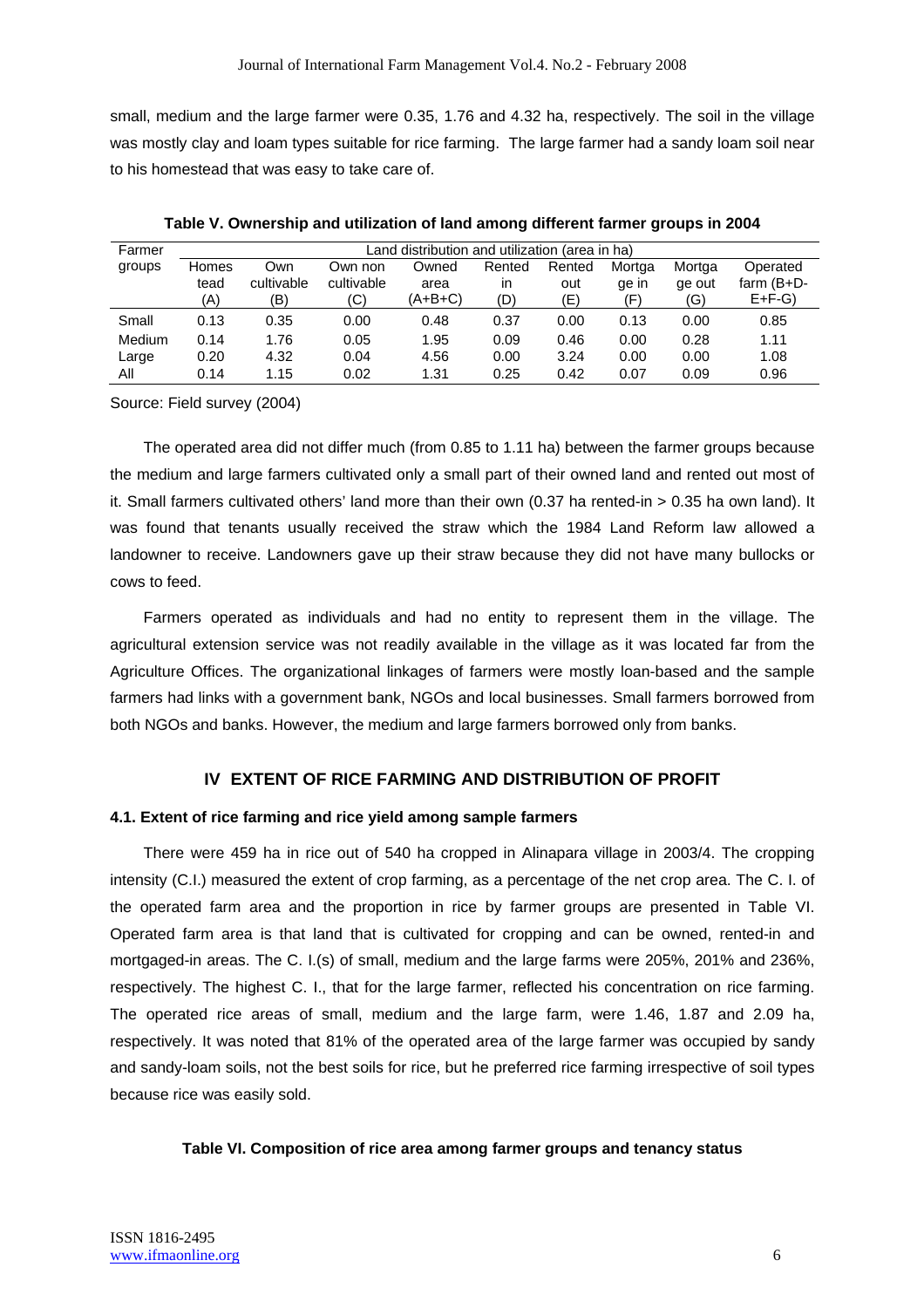small, medium and the large farmer were 0.35, 1.76 and 4.32 ha, respectively. The soil in the village was mostly clay and loam types suitable for rice farming. The large farmer had a sandy loam soil near to his homestead that was easy to take care of.

| Farmer | Land distribution and utilization (area in ha) |            |            |         |        |        |        |        |               |  |  |
|--------|------------------------------------------------|------------|------------|---------|--------|--------|--------|--------|---------------|--|--|
| groups | Homes                                          | Own        | Own non    | Owned   | Rented | Rented | Mortga | Mortga | Operated      |  |  |
|        | tead                                           | cultivable | cultivable | area    | in     | out    | ge in  | ge out | farm $(B+D-)$ |  |  |
|        | (A)                                            | (B)        | (C)        | (A+B+C) | (D)    | (E)    | (F)    | (G)    | $E + F - G$   |  |  |
| Small  | 0.13                                           | 0.35       | 0.00       | 0.48    | 0.37   | 0.00   | 0.13   | 0.00   | 0.85          |  |  |
| Medium | 0.14                                           | 1.76       | 0.05       | 1.95    | 0.09   | 0.46   | 0.00   | 0.28   | 1.11          |  |  |
| Large  | 0.20                                           | 4.32       | 0.04       | 4.56    | 0.00   | 3.24   | 0.00   | 0.00   | 1.08          |  |  |
| Αll    | 0.14                                           | 1.15       | 0.02       | 1.31    | 0.25   | 0.42   | 0.07   | 0.09   | 0.96          |  |  |

**Table V. Ownership and utilization of land among different farmer groups in 2004**

Source: Field survey (2004)

The operated area did not differ much (from 0.85 to 1.11 ha) between the farmer groups because the medium and large farmers cultivated only a small part of their owned land and rented out most of it. Small farmers cultivated others' land more than their own (0.37 ha rented-in > 0.35 ha own land). It was found that tenants usually received the straw which the 1984 Land Reform law allowed a landowner to receive. Landowners gave up their straw because they did not have many bullocks or cows to feed.

Farmers operated as individuals and had no entity to represent them in the village. The agricultural extension service was not readily available in the village as it was located far from the Agriculture Offices. The organizational linkages of farmers were mostly loan-based and the sample farmers had links with a government bank, NGOs and local businesses. Small farmers borrowed from both NGOs and banks. However, the medium and large farmers borrowed only from banks.

# **IV EXTENT OF RICE FARMING AND DISTRIBUTION OF PROFIT**

## **4.1. Extent of rice farming and rice yield among sample farmers**

There were 459 ha in rice out of 540 ha cropped in Alinapara village in 2003/4. The cropping intensity (C.I.) measured the extent of crop farming, as a percentage of the net crop area. The C. I. of the operated farm area and the proportion in rice by farmer groups are presented in Table VI. Operated farm area is that land that is cultivated for cropping and can be owned, rented-in and mortgaged-in areas. The C. I.(s) of small, medium and the large farms were 205%, 201% and 236%, respectively. The highest C. I., that for the large farmer, reflected his concentration on rice farming. The operated rice areas of small, medium and the large farm, were 1.46, 1.87 and 2.09 ha, respectively. It was noted that 81% of the operated area of the large farmer was occupied by sandy and sandy-loam soils, not the best soils for rice, but he preferred rice farming irrespective of soil types because rice was easily sold.

## **Table VI. Composition of rice area among farmer groups and tenancy status**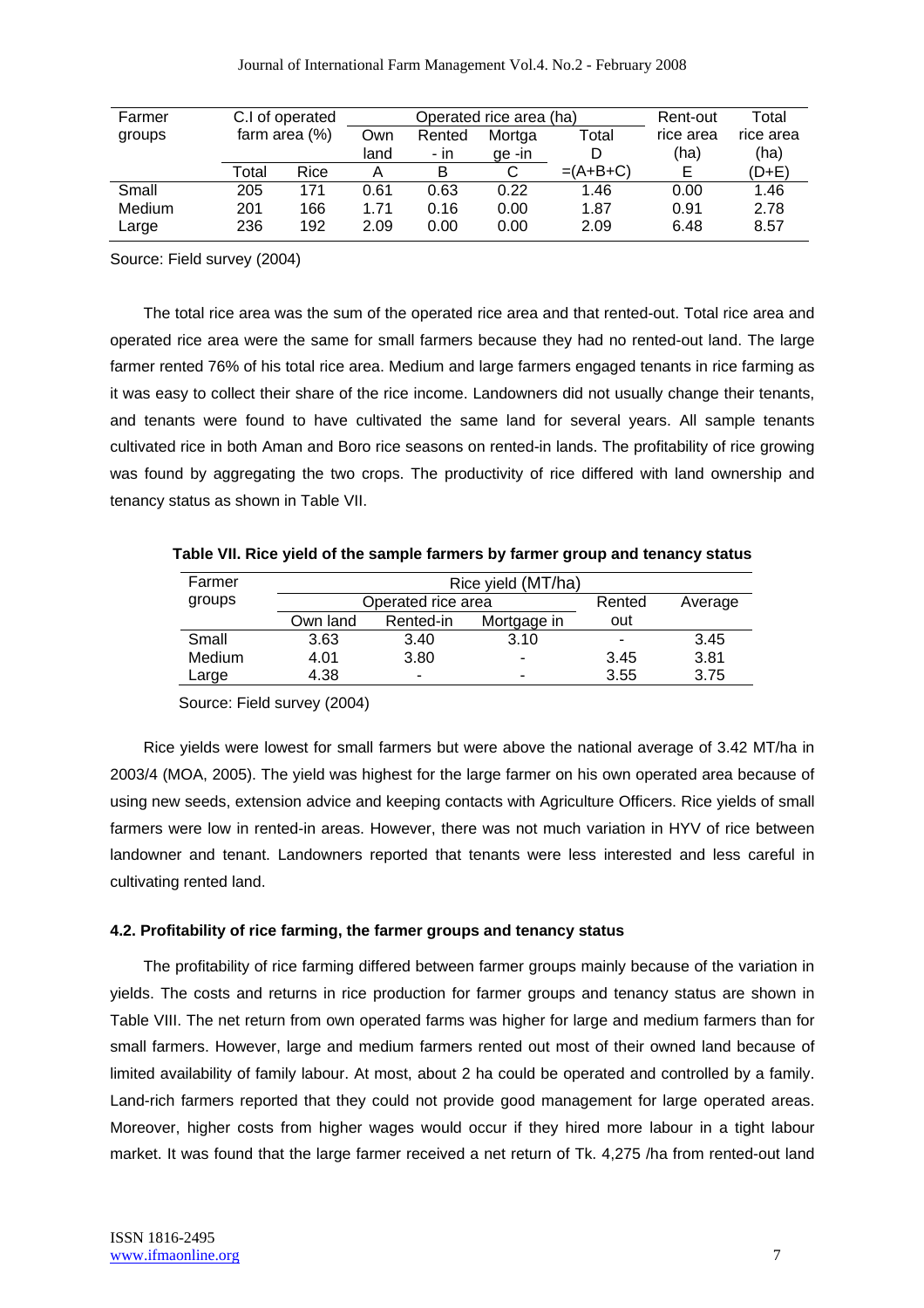| Farmer |       | C.I of operated |      | Operated rice area (ha) | Rent-out | Total      |           |           |
|--------|-------|-----------------|------|-------------------------|----------|------------|-----------|-----------|
| groups |       | farm area (%)   |      | Rented                  | Mortga   | Total      | rice area | rice area |
|        |       |                 | land | - in                    | ge-in    | D          | (ha)      | (ha)      |
|        | Total | Rice            |      | B                       | С        | $=(A+B+C)$ | E         | (D+E)     |
| Small  | 205   | 171             | 0.61 | 0.63                    | 0.22     | 1.46       | 0.00      | 1.46      |
| Medium | 201   | 166             | 1.71 | 0.16                    | 0.00     | 1.87       | 0.91      | 2.78      |
| Large  | 236   | 192             | 2.09 | 0.00                    | 0.00     | 2.09       | 6.48      | 8.57      |

Source: Field survey (2004)

The total rice area was the sum of the operated rice area and that rented-out. Total rice area and operated rice area were the same for small farmers because they had no rented-out land. The large farmer rented 76% of his total rice area. Medium and large farmers engaged tenants in rice farming as it was easy to collect their share of the rice income. Landowners did not usually change their tenants, and tenants were found to have cultivated the same land for several years. All sample tenants cultivated rice in both Aman and Boro rice seasons on rented-in lands. The profitability of rice growing was found by aggregating the two crops. The productivity of rice differed with land ownership and tenancy status as shown in Table VII.

| Farmer |          | Rice yield (MT/ha) |                          |         |      |  |  |  |  |
|--------|----------|--------------------|--------------------------|---------|------|--|--|--|--|
| groups |          | Operated rice area | Rented                   | Average |      |  |  |  |  |
|        | Own land | Rented-in          | Mortgage in              | out     |      |  |  |  |  |
| Small  | 3.63     | 3.40               | 3.10                     | -       | 3.45 |  |  |  |  |
| Medium | 4.01     | 3.80               |                          | 3.45    | 3.81 |  |  |  |  |
| Large  | 4.38     | -                  | $\overline{\phantom{0}}$ | 3.55    | 3.75 |  |  |  |  |

**Table VII. Rice yield of the sample farmers by farmer group and tenancy status** 

Source: Field survey (2004)

Rice yields were lowest for small farmers but were above the national average of 3.42 MT/ha in 2003/4 (MOA, 2005). The yield was highest for the large farmer on his own operated area because of using new seeds, extension advice and keeping contacts with Agriculture Officers. Rice yields of small farmers were low in rented-in areas. However, there was not much variation in HYV of rice between landowner and tenant. Landowners reported that tenants were less interested and less careful in cultivating rented land.

#### **4.2. Profitability of rice farming, the farmer groups and tenancy status**

The profitability of rice farming differed between farmer groups mainly because of the variation in yields. The costs and returns in rice production for farmer groups and tenancy status are shown in Table VIII. The net return from own operated farms was higher for large and medium farmers than for small farmers. However, large and medium farmers rented out most of their owned land because of limited availability of family labour. At most, about 2 ha could be operated and controlled by a family. Land-rich farmers reported that they could not provide good management for large operated areas. Moreover, higher costs from higher wages would occur if they hired more labour in a tight labour market. It was found that the large farmer received a net return of Tk. 4,275 /ha from rented-out land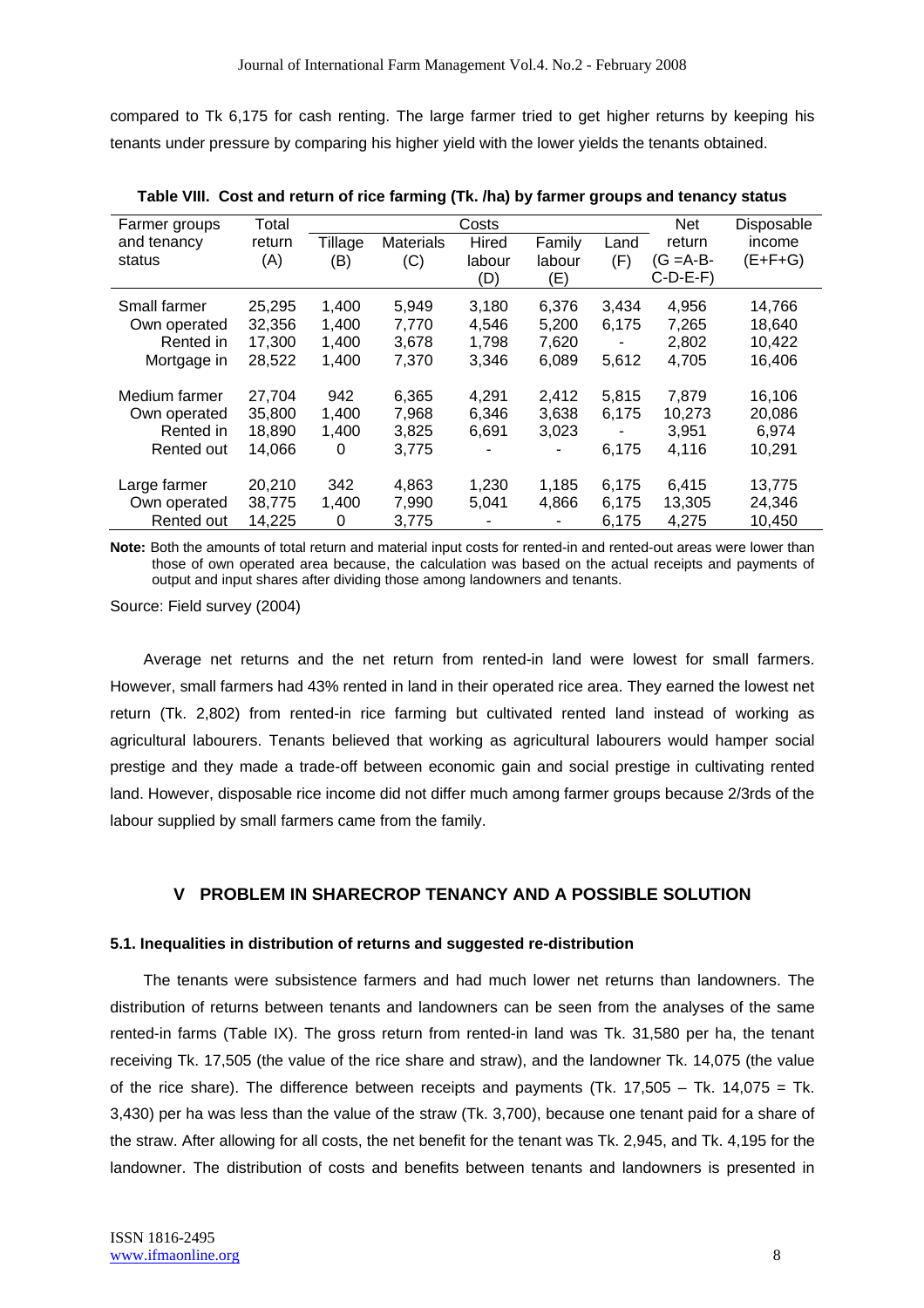compared to Tk 6,175 for cash renting. The large farmer tried to get higher returns by keeping his tenants under pressure by comparing his higher yield with the lower yields the tenants obtained.

| Farmer groups | Total  |         |                  | Costs  |        |       | <b>Net</b>   | Disposable |
|---------------|--------|---------|------------------|--------|--------|-------|--------------|------------|
| and tenancy   | return | Tillage | <b>Materials</b> | Hired  | Family | Land  | return       | income     |
| status        | (A)    | (B)     | (C)              | labour | labour | (F)   | $(G = A-B -$ | $(E+F+G)$  |
|               |        |         |                  | (D)    | (E)    |       | $C-D-E-F$    |            |
| Small farmer  | 25,295 | 1,400   | 5,949            | 3,180  | 6,376  | 3,434 | 4,956        | 14,766     |
| Own operated  | 32,356 | 1,400   | 7.770            | 4,546  | 5,200  | 6.175 | 7,265        | 18,640     |
| Rented in     | 17,300 | 1,400   | 3,678            | 1,798  | 7,620  |       | 2,802        | 10,422     |
| Mortgage in   | 28,522 | 1,400   | 7.370            | 3,346  | 6,089  | 5,612 | 4,705        | 16,406     |
|               |        |         |                  |        |        |       |              |            |
| Medium farmer | 27,704 | 942     | 6,365            | 4,291  | 2,412  | 5,815 | 7,879        | 16,106     |
| Own operated  | 35,800 | 1,400   | 7,968            | 6,346  | 3,638  | 6.175 | 10,273       | 20,086     |
| Rented in     | 18,890 | 1,400   | 3,825            | 6,691  | 3,023  | ٠     | 3.951        | 6.974      |
| Rented out    | 14,066 | 0       | 3,775            |        |        | 6,175 | 4,116        | 10,291     |
| Large farmer  | 20,210 | 342     | 4,863            | 1,230  | 1,185  | 6,175 | 6,415        | 13,775     |
| Own operated  | 38,775 | 1,400   | 7.990            | 5,041  | 4.866  | 6.175 | 13,305       | 24,346     |
| Rented out    | 14,225 | 0       | 3.775            |        |        | 6,175 | 4,275        | 10.450     |

**Table VIII. Cost and return of rice farming (Tk. /ha) by farmer groups and tenancy status**

**Note:** Both the amounts of total return and material input costs for rented-in and rented-out areas were lower than those of own operated area because, the calculation was based on the actual receipts and payments of output and input shares after dividing those among landowners and tenants.

Source: Field survey (2004)

Average net returns and the net return from rented-in land were lowest for small farmers. However, small farmers had 43% rented in land in their operated rice area. They earned the lowest net return (Tk. 2,802) from rented-in rice farming but cultivated rented land instead of working as agricultural labourers. Tenants believed that working as agricultural labourers would hamper social prestige and they made a trade-off between economic gain and social prestige in cultivating rented land. However, disposable rice income did not differ much among farmer groups because 2/3rds of the labour supplied by small farmers came from the family.

# **V PROBLEM IN SHARECROP TENANCY AND A POSSIBLE SOLUTION**

#### **5.1. Inequalities in distribution of returns and suggested re-distribution**

The tenants were subsistence farmers and had much lower net returns than landowners. The distribution of returns between tenants and landowners can be seen from the analyses of the same rented-in farms (Table IX). The gross return from rented-in land was Tk. 31,580 per ha, the tenant receiving Tk. 17,505 (the value of the rice share and straw), and the landowner Tk. 14,075 (the value of the rice share). The difference between receipts and payments (Tk.  $17,505 - Tk$ .  $14,075 = Tk$ . 3,430) per ha was less than the value of the straw (Tk. 3,700), because one tenant paid for a share of the straw. After allowing for all costs, the net benefit for the tenant was Tk. 2,945, and Tk. 4,195 for the landowner. The distribution of costs and benefits between tenants and landowners is presented in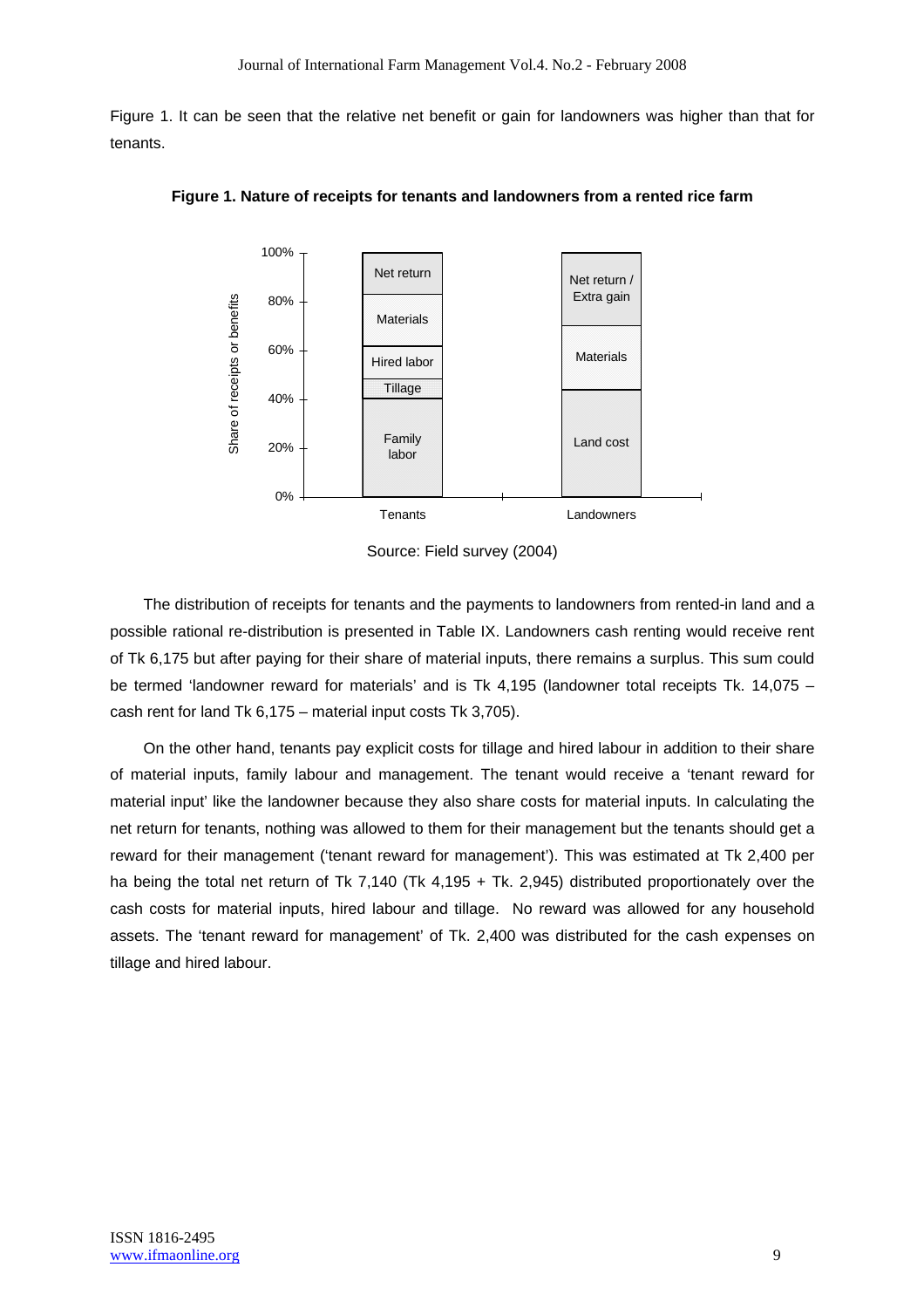Figure 1. It can be seen that the relative net benefit or gain for landowners was higher than that for tenants.



**Figure 1. Nature of receipts for tenants and landowners from a rented rice farm** 

The distribution of receipts for tenants and the payments to landowners from rented-in land and a possible rational re-distribution is presented in Table IX. Landowners cash renting would receive rent of Tk 6,175 but after paying for their share of material inputs, there remains a surplus. This sum could be termed 'landowner reward for materials' and is Tk 4,195 (landowner total receipts Tk. 14,075 – cash rent for land Tk 6,175 – material input costs Tk 3,705).

On the other hand, tenants pay explicit costs for tillage and hired labour in addition to their share of material inputs, family labour and management. The tenant would receive a 'tenant reward for material input' like the landowner because they also share costs for material inputs. In calculating the net return for tenants, nothing was allowed to them for their management but the tenants should get a reward for their management ('tenant reward for management'). This was estimated at Tk 2,400 per ha being the total net return of Tk 7,140 (Tk 4,195 + Tk. 2,945) distributed proportionately over the cash costs for material inputs, hired labour and tillage. No reward was allowed for any household assets. The 'tenant reward for management' of Tk. 2,400 was distributed for the cash expenses on tillage and hired labour.

Source: Field survey (2004)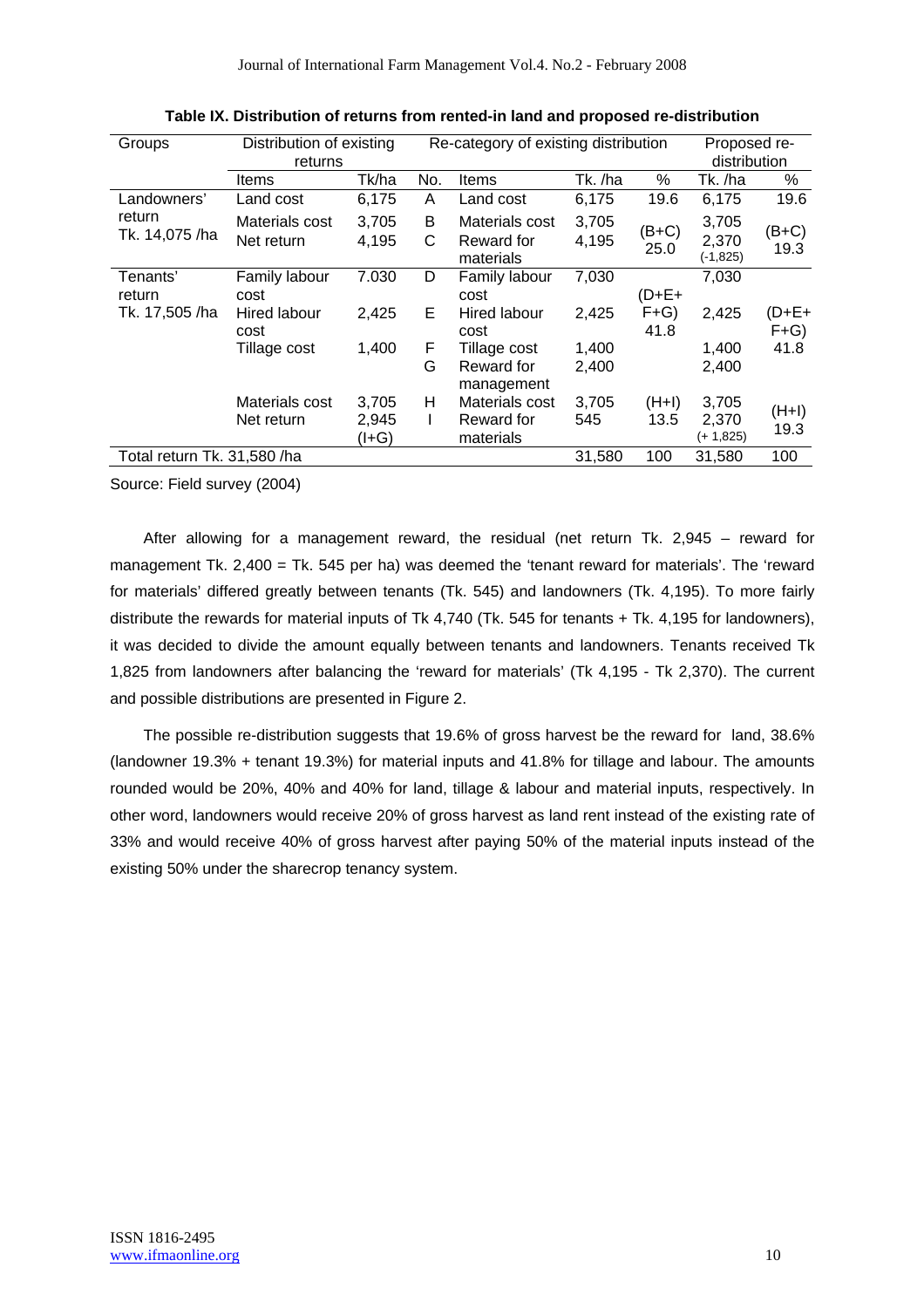| Groups                      | Distribution of existing<br>returns |                  |        | Re-category of existing distribution      |                | Proposed re-<br>distribution |                               |                 |
|-----------------------------|-------------------------------------|------------------|--------|-------------------------------------------|----------------|------------------------------|-------------------------------|-----------------|
|                             | Items                               | Tk/ha            | No.    | Items                                     | Tk. /ha        | ℅                            | Tk. /ha                       | %               |
| Landowners'                 | Land cost                           | 6,175            | A      | Land cost                                 | 6,175          | 19.6                         | 6,175                         | 19.6            |
| return<br>Tk. 14,075 /ha    | Materials cost<br>Net return        | 3,705<br>4,195   | B<br>C | Materials cost<br>Reward for<br>materials | 3,705<br>4,195 | (B+C)<br>25.0                | 3,705<br>2,370<br>$(-1, 825)$ | (B+C)<br>19.3   |
| Tenants'                    | Family labour                       | 7.030            | D      | Family labour                             | 7,030          |                              | 7,030                         |                 |
| return                      | cost                                |                  |        | cost                                      |                | (D+E+                        |                               |                 |
| Tk. 17,505 /ha              | Hired labour<br>cost                | 2,425            | E      | Hired labour<br>cost                      | 2,425          | $F+G$<br>41.8                | 2,425                         | (D+E+<br>$F+G$  |
|                             | Tillage cost                        | 1,400            | F      | Tillage cost                              | 1,400          |                              | 1,400                         | 41.8            |
|                             |                                     |                  | G      | Reward for<br>management                  | 2,400          |                              | 2,400                         |                 |
|                             | Materials cost                      | 3,705            | н      | Materials cost                            | 3,705          | $(H+I)$                      | 3,705                         |                 |
|                             | Net return                          | 2,945<br>$(I+G)$ |        | Reward for<br>materials                   | 545            | 13.5                         | 2,370<br>(+ 1,825)            | $(H+I)$<br>19.3 |
| Total return Tk. 31,580 /ha |                                     |                  |        |                                           | 31,580         | 100                          | 31,580                        | 100             |

**Table IX. Distribution of returns from rented-in land and proposed re-distribution** 

Source: Field survey (2004)

After allowing for a management reward, the residual (net return Tk. 2,945 – reward for management Tk. 2,400 = Tk. 545 per ha) was deemed the 'tenant reward for materials'. The 'reward for materials' differed greatly between tenants (Tk. 545) and landowners (Tk. 4,195). To more fairly distribute the rewards for material inputs of Tk 4,740 (Tk. 545 for tenants + Tk. 4,195 for landowners), it was decided to divide the amount equally between tenants and landowners. Tenants received Tk 1,825 from landowners after balancing the 'reward for materials' (Tk 4,195 - Tk 2,370). The current and possible distributions are presented in Figure 2.

The possible re-distribution suggests that 19.6% of gross harvest be the reward for land, 38.6% (landowner 19.3% + tenant 19.3%) for material inputs and 41.8% for tillage and labour. The amounts rounded would be 20%, 40% and 40% for land, tillage & labour and material inputs, respectively. In other word, landowners would receive 20% of gross harvest as land rent instead of the existing rate of 33% and would receive 40% of gross harvest after paying 50% of the material inputs instead of the existing 50% under the sharecrop tenancy system.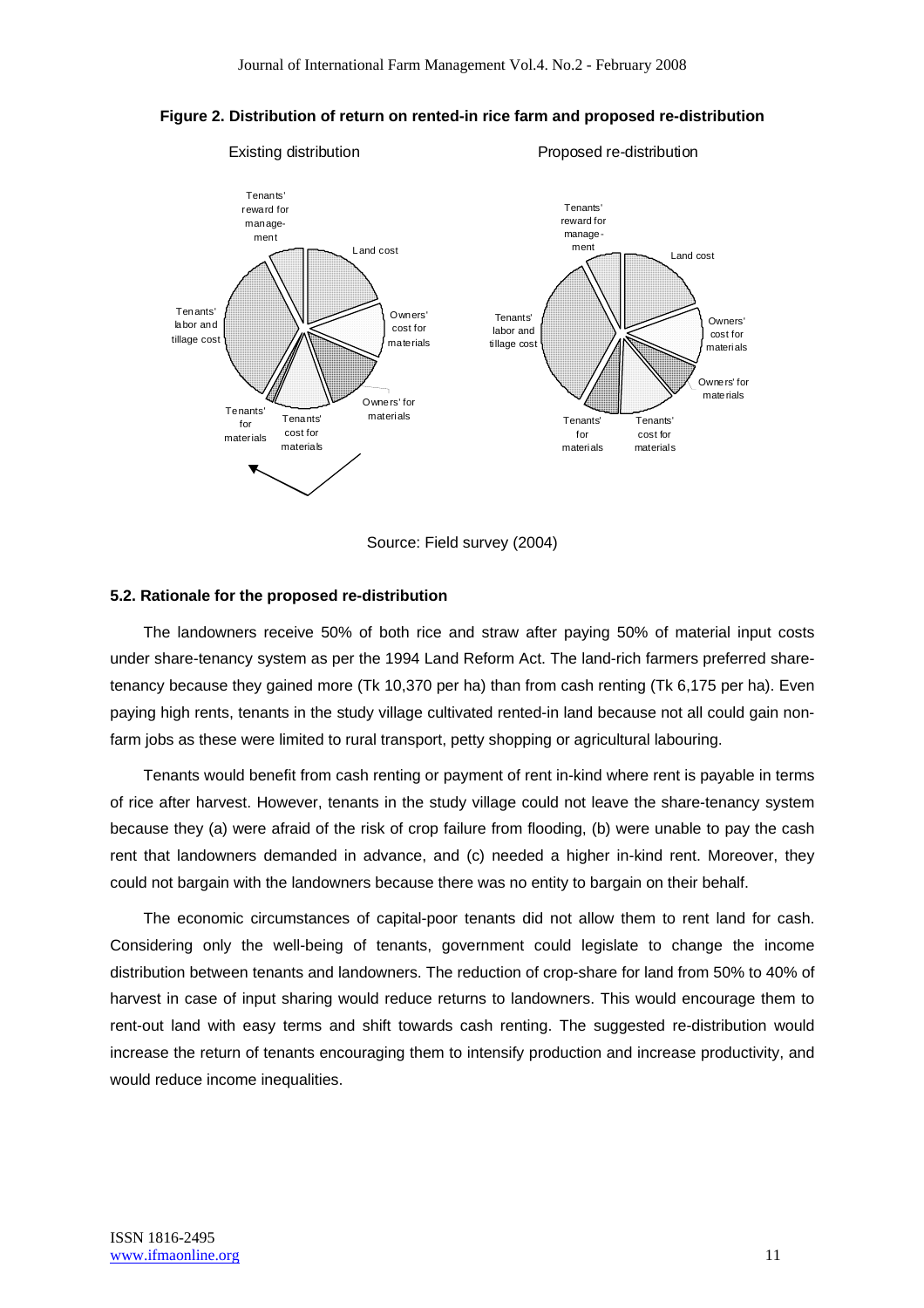

**Figure 2. Distribution of return on rented-in rice farm and proposed re-distribution** 

Source: Field survey (2004)

#### **5.2. Rationale for the proposed re-distribution**

The landowners receive 50% of both rice and straw after paying 50% of material input costs under share-tenancy system as per the 1994 Land Reform Act. The land-rich farmers preferred sharetenancy because they gained more (Tk 10,370 per ha) than from cash renting (Tk 6,175 per ha). Even paying high rents, tenants in the study village cultivated rented-in land because not all could gain nonfarm jobs as these were limited to rural transport, petty shopping or agricultural labouring.

Tenants would benefit from cash renting or payment of rent in-kind where rent is payable in terms of rice after harvest. However, tenants in the study village could not leave the share-tenancy system because they (a) were afraid of the risk of crop failure from flooding, (b) were unable to pay the cash rent that landowners demanded in advance, and (c) needed a higher in-kind rent. Moreover, they could not bargain with the landowners because there was no entity to bargain on their behalf.

The economic circumstances of capital-poor tenants did not allow them to rent land for cash. Considering only the well-being of tenants, government could legislate to change the income distribution between tenants and landowners. The reduction of crop-share for land from 50% to 40% of harvest in case of input sharing would reduce returns to landowners. This would encourage them to rent-out land with easy terms and shift towards cash renting. The suggested re-distribution would increase the return of tenants encouraging them to intensify production and increase productivity, and would reduce income inequalities.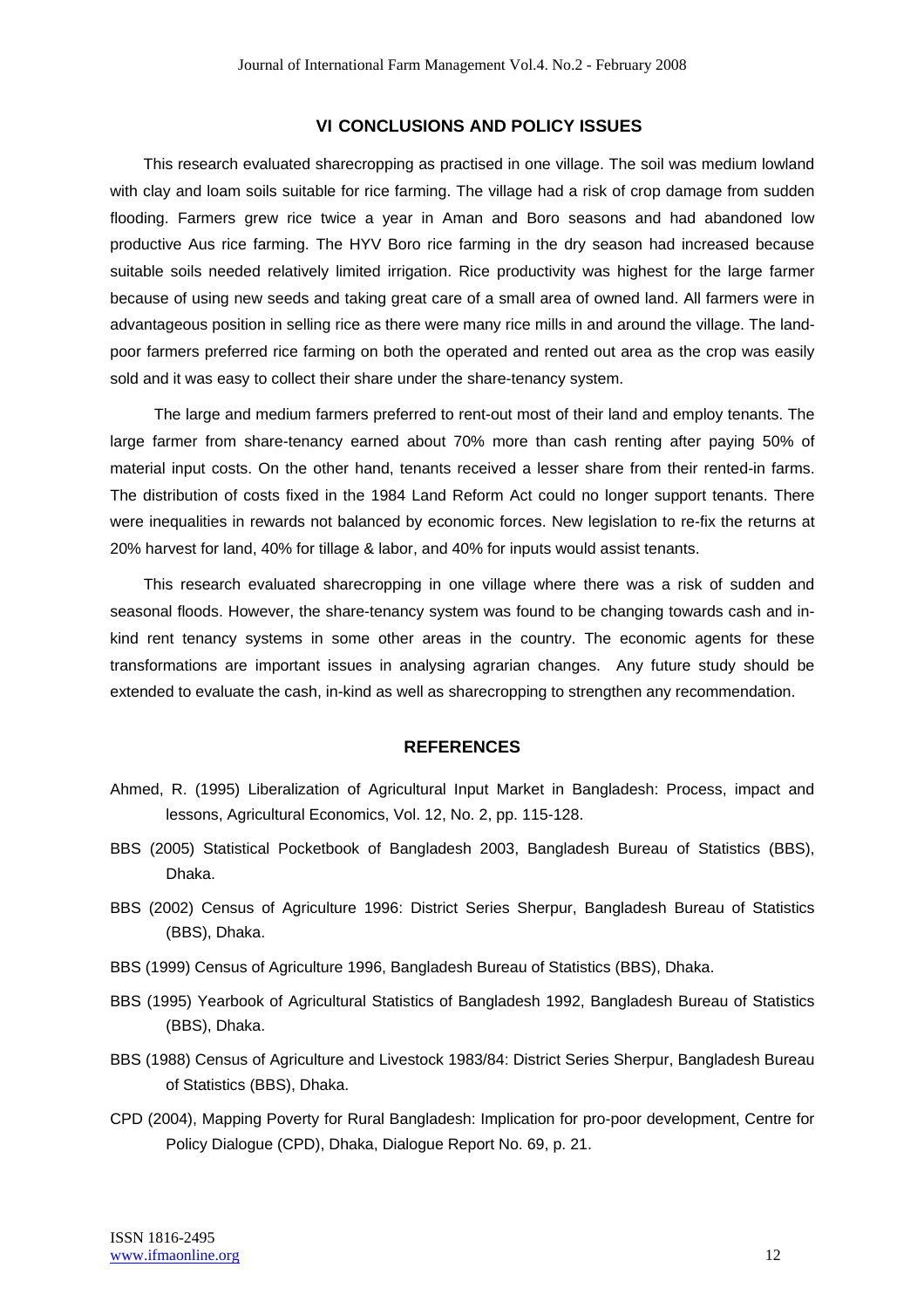#### **VI CONCLUSIONS AND POLICY ISSUES**

This research evaluated sharecropping as practised in one village. The soil was medium lowland with clay and loam soils suitable for rice farming. The village had a risk of crop damage from sudden flooding. Farmers grew rice twice a year in Aman and Boro seasons and had abandoned low productive Aus rice farming. The HYV Boro rice farming in the dry season had increased because suitable soils needed relatively limited irrigation. Rice productivity was highest for the large farmer because of using new seeds and taking great care of a small area of owned land. All farmers were in advantageous position in selling rice as there were many rice mills in and around the village. The landpoor farmers preferred rice farming on both the operated and rented out area as the crop was easily sold and it was easy to collect their share under the share-tenancy system.

The large and medium farmers preferred to rent-out most of their land and employ tenants. The large farmer from share-tenancy earned about 70% more than cash renting after paying 50% of material input costs. On the other hand, tenants received a lesser share from their rented-in farms. The distribution of costs fixed in the 1984 Land Reform Act could no longer support tenants. There were inequalities in rewards not balanced by economic forces. New legislation to re-fix the returns at 20% harvest for land, 40% for tillage & labor, and 40% for inputs would assist tenants.

This research evaluated sharecropping in one village where there was a risk of sudden and seasonal floods. However, the share-tenancy system was found to be changing towards cash and inkind rent tenancy systems in some other areas in the country. The economic agents for these transformations are important issues in analysing agrarian changes. Any future study should be extended to evaluate the cash, in-kind as well as sharecropping to strengthen any recommendation.

#### **REFERENCES**

- Ahmed, R. (1995) Liberalization of Agricultural Input Market in Bangladesh: Process, impact and lessons, Agricultural Economics, Vol. 12, No. 2, pp. 115-128.
- BBS (2005) Statistical Pocketbook of Bangladesh 2003, Bangladesh Bureau of Statistics (BBS), Dhaka.
- BBS (2002) Census of Agriculture 1996: District Series Sherpur, Bangladesh Bureau of Statistics (BBS), Dhaka.
- BBS (1999) Census of Agriculture 1996, Bangladesh Bureau of Statistics (BBS), Dhaka.
- BBS (1995) Yearbook of Agricultural Statistics of Bangladesh 1992, Bangladesh Bureau of Statistics (BBS), Dhaka.
- BBS (1988) Census of Agriculture and Livestock 1983/84: District Series Sherpur, Bangladesh Bureau of Statistics (BBS), Dhaka.
- CPD (2004), Mapping Poverty for Rural Bangladesh: Implication for pro-poor development, Centre for Policy Dialogue (CPD), Dhaka, Dialogue Report No. 69, p. 21.